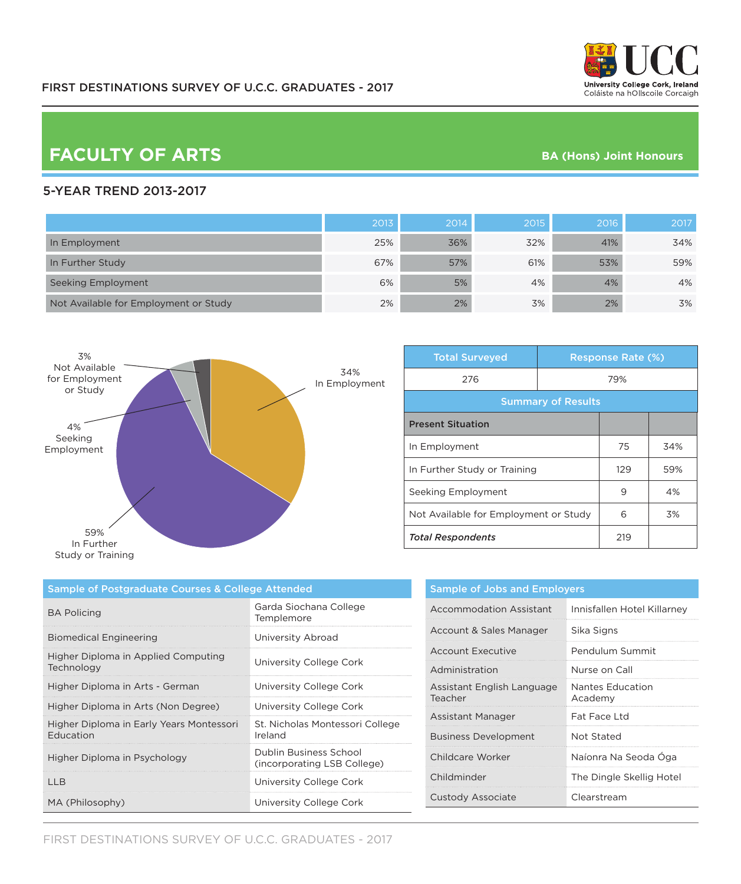# **FACULTY OF ARTS BA (Hons) Joint Honours**

### 5-YEAR TREND 2013-2017

|                                       | 2013 | 2014 | 2015 | 2016 | 2017 |
|---------------------------------------|------|------|------|------|------|
| In Employment                         | 25%  | 36%  | 32%  | 41%  | 34%  |
| In Further Study                      | 67%  | 57%  | 61%  | 53%  | 59%  |
| Seeking Employment                    | 6%   | 5%   | 4%   | 4%   | 4%   |
| Not Available for Employment or Study | 2%   | 2%   | 3%   | 2%   | 3%   |



| <b>Total Surveyed</b>                 |     | <b>Response Rate (%)</b> |     |
|---------------------------------------|-----|--------------------------|-----|
| 276                                   | 79% |                          |     |
| <b>Summary of Results</b>             |     |                          |     |
| <b>Present Situation</b>              |     |                          |     |
| In Employment                         |     | 75                       | 34% |
| In Further Study or Training          |     | 129                      | 59% |
| Seeking Employment                    |     | 9                        | 4%  |
| Not Available for Employment or Study |     | 6                        | 3%  |
| <b>Total Respondents</b>              |     | 219                      |     |

| <b>Sample of Postgraduate Courses &amp; College Attended</b> |                                                       |  |
|--------------------------------------------------------------|-------------------------------------------------------|--|
| <b>BA Policing</b>                                           | Garda Siochana College<br>Templemore                  |  |
| <b>Biomedical Engineering</b>                                | University Abroad                                     |  |
| Higher Diploma in Applied Computing<br>Technology            | University College Cork                               |  |
| Higher Diploma in Arts - German                              | University College Cork                               |  |
| Higher Diploma in Arts (Non Degree)                          | University College Cork                               |  |
| Higher Diploma in Early Years Montessori<br><b>Education</b> | St. Nicholas Montessori College<br>Ireland            |  |
| Higher Diploma in Psychology                                 | Dublin Business School<br>(incorporating LSB College) |  |
| 1 I R                                                        | University College Cork                               |  |
| MA (Philosophy)                                              | University College Cork                               |  |

| <b>Sample of Jobs and Employers</b>   |                             |  |
|---------------------------------------|-----------------------------|--|
| Accommodation Assistant               | Innisfallen Hotel Killarney |  |
| Account & Sales Manager               | Sika Signs                  |  |
| Account Executive                     | Pendulum Summit             |  |
| Administration                        | Nurse on Call               |  |
| Assistant English Language<br>Teacher | Nantes Education<br>Academy |  |
| Assistant Manager                     | Eat Eace Ltd                |  |
| <b>Business Development</b>           | Not Stated                  |  |
| Childcare Worker                      | Naíonra Na Seoda Oga        |  |
| Childminder                           | The Dingle Skellig Hotel    |  |
| Custody Associate                     | Clearstream                 |  |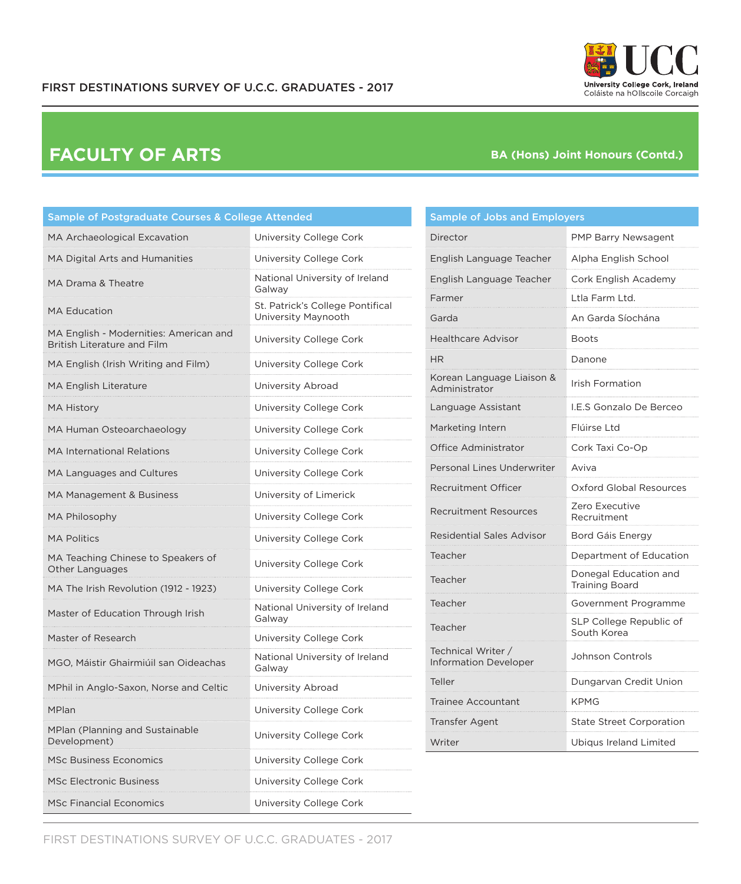

| <b>University College Cork, Ireland</b><br>Coláiste na hOllscoile Corcaigh |  |
|----------------------------------------------------------------------------|--|

| Sample of Postgraduate Courses & College Attended                            |                                                         |  |  |
|------------------------------------------------------------------------------|---------------------------------------------------------|--|--|
| MA Archaeological Excavation                                                 | University College Cork                                 |  |  |
| MA Digital Arts and Humanities                                               | University College Cork                                 |  |  |
| MA Drama & Theatre                                                           | National University of Ireland<br>Galway                |  |  |
| <b>MA Education</b>                                                          | St. Patrick's College Pontifical<br>University Maynooth |  |  |
| MA English - Modernities: American and<br><b>British Literature and Film</b> | University College Cork                                 |  |  |
| MA English (Irish Writing and Film)                                          | University College Cork                                 |  |  |
| MA English Literature                                                        | University Abroad                                       |  |  |
| <b>MA History</b>                                                            | University College Cork                                 |  |  |
| MA Human Osteoarchaeology                                                    | University College Cork                                 |  |  |
| <b>MA International Relations</b>                                            | University College Cork                                 |  |  |
| MA Languages and Cultures                                                    | University College Cork                                 |  |  |
| MA Management & Business                                                     | University of Limerick                                  |  |  |
| <b>MA Philosophy</b>                                                         | University College Cork                                 |  |  |
| <b>MA Politics</b>                                                           | University College Cork                                 |  |  |
| MA Teaching Chinese to Speakers of<br>Other Languages                        | University College Cork                                 |  |  |
| MA The Irish Revolution (1912 - 1923)                                        | University College Cork                                 |  |  |
| Master of Education Through Irish                                            | National University of Ireland<br>Galway                |  |  |
| Master of Research                                                           | University College Cork                                 |  |  |
| MGO, Máistir Ghairmiúil san Oideachas                                        | National University of Ireland<br>Galway                |  |  |
| MPhil in Anglo-Saxon, Norse and Celtic                                       | University Abroad                                       |  |  |
| MPlan                                                                        | University College Cork                                 |  |  |
| <b>MPlan (Planning and Sustainable</b><br>Development)                       | University College Cork                                 |  |  |
| <b>MSc Business Economics</b>                                                | University College Cork                                 |  |  |
| <b>MSc Electronic Business</b>                                               | University College Cork                                 |  |  |
| <b>MSc Financial Economics</b>                                               | University College Cork                                 |  |  |

### Sample of Jobs and Employers

| Director                                           | PMP Barry Newsagent                            |
|----------------------------------------------------|------------------------------------------------|
| English Language Teacher                           | Alpha English School                           |
| English Language Teacher                           | Cork English Academy                           |
| Farmer                                             | Ltla Farm Ltd.                                 |
| Garda                                              | An Garda Síochána                              |
| <b>Healthcare Advisor</b>                          | Boots                                          |
| HR                                                 | Danone                                         |
| Korean Language Liaison &<br>Administrator         | <b>Irish Formation</b>                         |
| Language Assistant                                 | I.E.S Gonzalo De Berceo                        |
| Marketing Intern                                   | Flúirse Ltd                                    |
| Office Administrator                               | Cork Taxi Co-Op                                |
| Personal Lines Underwriter                         | Aviva                                          |
| <b>Recruitment Officer</b>                         | Oxford Global Resources                        |
| Recruitment Resources                              | Zero Executive<br>Recruitment                  |
| <b>Residential Sales Advisor</b>                   | Bord Gáis Energy                               |
| Teacher                                            | Department of Education                        |
| Teacher                                            | Donegal Education and<br><b>Training Board</b> |
| Teacher                                            | Government Programme                           |
| Teacher                                            | SLP College Republic of<br>South Korea         |
| Technical Writer /<br><b>Information Developer</b> | Johnson Controls                               |
| Teller                                             | Dungarvan Credit Union                         |
| Trainee Accountant                                 | KPMG                                           |
| <b>Transfer Agent</b>                              | <b>State Street Corporation</b>                |
| Writer                                             | Ubiqus Ireland Limited                         |